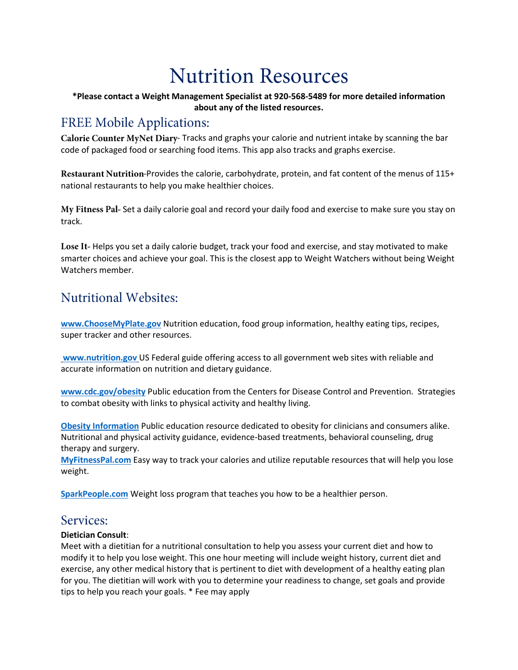# **Nutrition Resources**

### **\*Please contact a Weight Management Specialist at 920-568-5489 for more detailed information about any of the listed resources.**

# **FREE Mobile Applications:**

Calorie Counter MyNet Diary-Tracks and graphs your calorie and nutrient intake by scanning the bar code of packaged food or searching food items. This app also tracks and graphs exercise.

Restaurant Nutrition-Provides the calorie, carbohydrate, protein, and fat content of the menus of 115+ national restaurants to help you make healthier choices.

My Fitness Pal- Set a daily calorie goal and record your daily food and exercise to make sure you stay on track.

Lose It-Helps you set a daily calorie budget, track your food and exercise, and stay motivated to make smarter choices and achieve your goal. This is the closest app to Weight Watchers without being Weight Watchers member.

# **Nutritional Websites:**

**[www.ChooseMyPlate.gov](http://www.choosemyplate.gov/)** Nutrition education, food group information, healthy eating tips, recipes, super tracker and other resources.

**[www.nutrition.gov](http://www.nutrition.gov/)** US Federal guide offering access to all government web sites with reliable and accurate information on nutrition and dietary guidance.

**[www.cdc.gov/obesity](http://www.cdc.gov/obesity)** Public education from the Centers for Disease Control and Prevention. Strategies to combat obesity with links to physical activity and healthy living.

**[Obesity Information](http://www.obesity.org/)** Public education resource dedicated to obesity for clinicians and consumers alike. Nutritional and physical activity guidance, evidence-based treatments, behavioral counseling, drug therapy and surgery.

**[MyFitnessPal.com](https://www.myfitnesspal.com/)** Easy way to track your calories and utilize reputable resources that will help you lose weight.

**[SparkPeople.com](http://www.sparkpeople.com/)** Weight loss program that teaches you how to be a healthier person.

# Services:

# **Dietician Consult**:

Meet with a dietitian for a nutritional consultation to help you assess your current diet and how to modify it to help you lose weight. This one hour meeting will include weight history, current diet and exercise, any other medical history that is pertinent to diet with development of a healthy eating plan for you. The dietitian will work with you to determine your readiness to change, set goals and provide tips to help you reach your goals. \* Fee may apply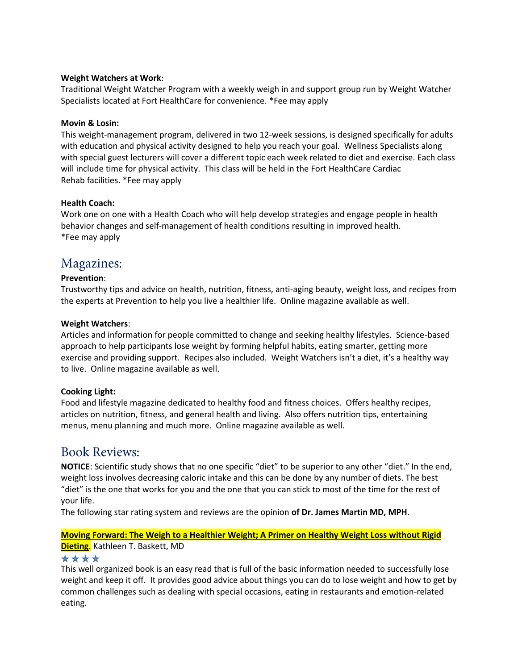#### **Weight Watchers at Work**:

Traditional Weight Watcher Program with a weekly weigh in and support group run by Weight Watcher Specialists located at Fort HealthCare for convenience. \*Fee may apply

#### **Movin & Losin:**

This weight-management program, delivered in two 12-week sessions, is designed specifically for adults with education and physical activity designed to help you reach your goal. Wellness Specialists along with special guest lecturers will cover a different topic each week related to diet and exercise. Each class will include time for physical activity. This class will be held in the Fort HealthCare Cardiac Rehab facilities. \*Fee may apply

#### **Health Coach:**

Work one on one with a Health Coach who will help develop strategies and engage people in health behavior changes and self-management of health conditions resulting in improved health. \*Fee may apply

# Magazines:

#### **Prevention**:

Trustworthy tips and advice on health, nutrition, fitness, anti-aging beauty, weight loss, and recipes from the experts at Prevention to help you live a healthier life. Online magazine available as well.

#### **Weight Watchers**:

Articles and information for people committed to change and seeking healthy lifestyles. Science-based approach to help participants lose weight by forming helpful habits, eating smarter, getting more exercise and providing support. Recipes also included. Weight Watchers isn't a diet, it's a healthy way to live. Online magazine available as well.

#### **Cooking Light:**

Food and lifestyle magazine dedicated to healthy food and fitness choices. Offers healthy recipes, articles on nutrition, fitness, and general health and living. Also offers nutrition tips, entertaining menus, menu planning and much more. Online magazine available as well.

# **Book Reviews:**

**NOTICE**: Scientific study shows that no one specific "diet" to be superior to any other "diet." In the end, weight loss involves decreasing caloric intake and this can be done by any number of diets. The best "diet" is the one that works for you and the one that you can stick to most of the time for the rest of your life.

The following star rating system and reviews are the opinion **of Dr. James Martin MD, MPH**.

#### **Moving Forward: The Weigh to a Healthier Weight; A Primer on Healthy Weight Loss without Rigid Dieting**. Kathleen T. Baskett, MD

#### \*\*\*\*

This well organized book is an easy read that is full of the basic information needed to successfully lose weight and keep it off. It provides good advice about things you can do to lose weight and how to get by common challenges such as dealing with special occasions, eating in restaurants and emotion-related eating.